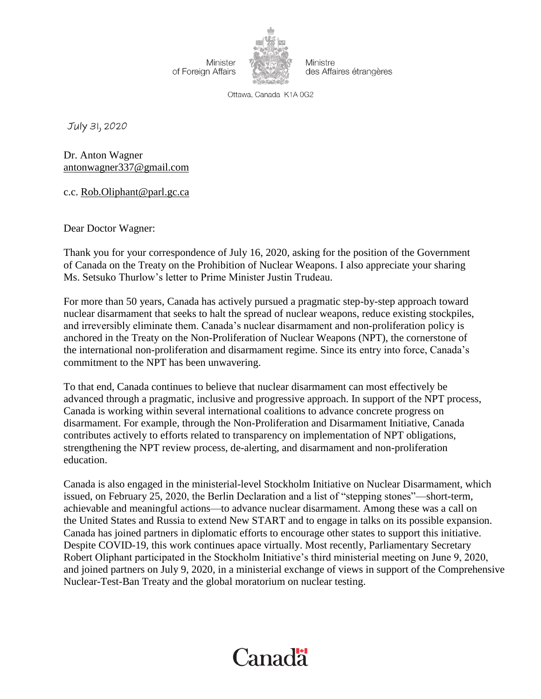Minister of Foreign Affairs



Ministre des Affaires étrangères

Ottawa, Canada K1A 0G2

July 31, 2020

Dr. Anton Wagner [antonwagner337@gmail.com](mailto:antonwagner337@gmail.com)

c.c. [Rob.Oliphant@parl.gc.ca](mailto:Rob.Oliphant@parl.gc.ca)

Dear Doctor Wagner:

Thank you for your correspondence of July 16, 2020, asking for the position of the Government of Canada on the Treaty on the Prohibition of Nuclear Weapons. I also appreciate your sharing Ms. Setsuko Thurlow's letter to Prime Minister Justin Trudeau.

For more than 50 years, Canada has actively pursued a pragmatic step-by-step approach toward nuclear disarmament that seeks to halt the spread of nuclear weapons, reduce existing stockpiles, and irreversibly eliminate them. Canada's nuclear disarmament and non-proliferation policy is anchored in the Treaty on the Non-Proliferation of Nuclear Weapons (NPT), the cornerstone of the international non-proliferation and disarmament regime. Since its entry into force, Canada's commitment to the NPT has been unwavering.

To that end, Canada continues to believe that nuclear disarmament can most effectively be advanced through a pragmatic, inclusive and progressive approach. In support of the NPT process, Canada is working within several international coalitions to advance concrete progress on disarmament. For example, through the Non-Proliferation and Disarmament Initiative, Canada contributes actively to efforts related to transparency on implementation of NPT obligations, strengthening the NPT review process, de-alerting, and disarmament and non-proliferation education.

Canada is also engaged in the ministerial-level Stockholm Initiative on Nuclear Disarmament, which issued, on February 25, 2020, the Berlin Declaration and a list of "stepping stones"—short-term, achievable and meaningful actions—to advance nuclear disarmament. Among these was a call on the United States and Russia to extend New START and to engage in talks on its possible expansion. Canada has joined partners in diplomatic efforts to encourage other states to support this initiative. Despite COVID-19, this work continues apace virtually. Most recently, Parliamentary Secretary Robert Oliphant participated in the Stockholm Initiative's third ministerial meeting on June 9, 2020, and joined partners on July 9, 2020, in a ministerial exchange of views in support of the Comprehensive Nuclear-Test-Ban Treaty and the global moratorium on nuclear testing.

## Canadä<sup>r</sup>